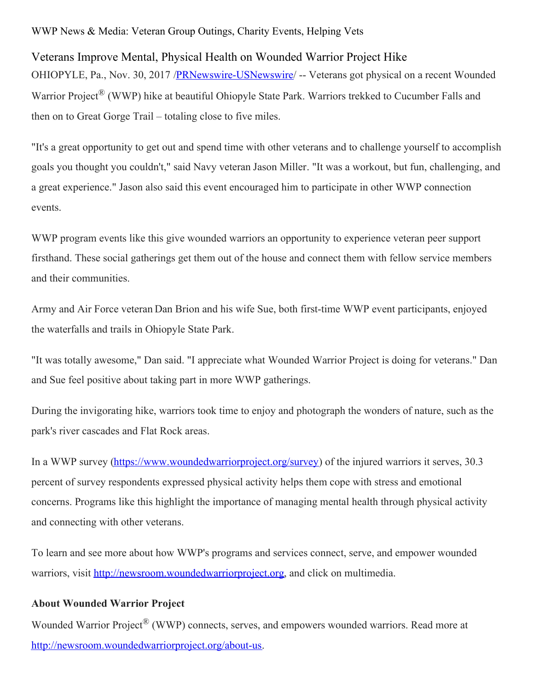WWP News & Media: Veteran Group Outings, Charity Events, Helping Vets

Veterans Improve Mental, Physical Health on Wounded Warrior Project Hike OHIOPYLE, Pa., Nov. 30, 2017 [/PRNewswire-USNewswire](http://www.prnewswire.com/)/ -- Veterans got physical on a recent Wounded Warrior Project<sup>®</sup> (WWP) hike at beautiful Ohiopyle State Park. Warriors trekked to Cucumber Falls and then on to Great Gorge Trail – totaling close to five miles.

"It's a great opportunity to get out and spend time with other veterans and to challenge yourself to accomplish goals you thought you couldn't," said Navy veteran Jason Miller. "It was a workout, but fun, challenging, and a great experience." Jason also said this event encouraged him to participate in other WWP connection events.

WWP program events like this give wounded warriors an opportunity to experience veteran peer support firsthand. These social gatherings get them out of the house and connect them with fellow service members and their communities.

Army and Air Force veteran Dan Brion and his wife Sue, both first-time WWP event participants, enjoyed the waterfalls and trails in Ohiopyle State Park.

"It was totally awesome," Dan said. "I appreciate what Wounded Warrior Project is doing for veterans." Dan and Sue feel positive about taking part in more WWP gatherings.

During the invigorating hike, warriors took time to enjoy and photograph the wonders of nature, such as the park's river cascades and Flat Rock areas.

In a WWP survey [\(https://www.woundedwarriorproject.org/survey](https://www.woundedwarriorproject.org/survey)) of the injured warriors it serves, 30.3 percent of survey respondents expressed physical activity helps them cope with stress and emotional concerns. Programs like this highlight the importance of managing mental health through physical activity and connecting with other veterans.

To learn and see more about how WWP's programs and services connect, serve, and empower wounded warriors, visit [http://newsroom.woundedwarriorproject.org](http://newsroom.woundedwarriorproject.org/), and click on multimedia.

## **About Wounded Warrior Project**

Wounded Warrior Project<sup>®</sup> (WWP) connects, serves, and empowers wounded warriors. Read more at <http://newsroom.woundedwarriorproject.org/about-us>.